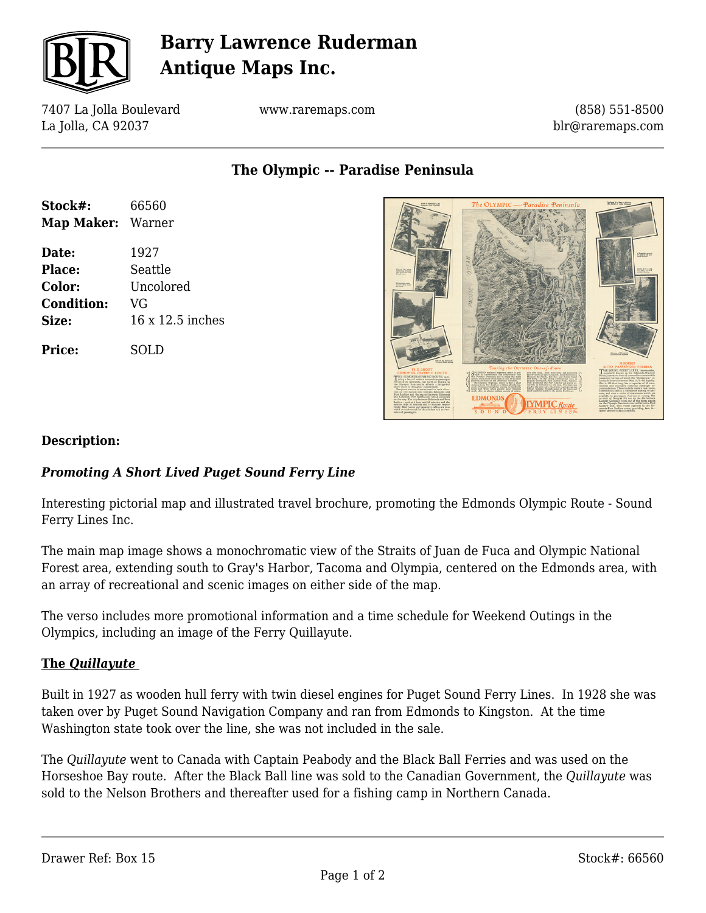

# **Barry Lawrence Ruderman Antique Maps Inc.**

7407 La Jolla Boulevard La Jolla, CA 92037

www.raremaps.com

(858) 551-8500 blr@raremaps.com

**The Olympic -- Paradise Peninsula**

| Stock#:<br>Map Maker: Warner | 66560            |
|------------------------------|------------------|
| Date:                        | 1927             |
| Place:                       | Seattle          |
| Color:                       | Uncolored        |
| <b>Condition:</b>            | VG               |
| Size:                        | 16 x 12.5 inches |
| <b>Price:</b>                | SOLD             |



### **Description:**

### *Promoting A Short Lived Puget Sound Ferry Line*

Interesting pictorial map and illustrated travel brochure, promoting the Edmonds Olympic Route - Sound Ferry Lines Inc.

The main map image shows a monochromatic view of the Straits of Juan de Fuca and Olympic National Forest area, extending south to Gray's Harbor, Tacoma and Olympia, centered on the Edmonds area, with an array of recreational and scenic images on either side of the map.

The verso includes more promotional information and a time schedule for Weekend Outings in the Olympics, including an image of the Ferry Quillayute.

### **The** *Quillayute*

Built in 1927 as wooden hull ferry with twin diesel engines for Puget Sound Ferry Lines. In 1928 she was taken over by Puget Sound Navigation Company and ran from Edmonds to Kingston. At the time Washington state took over the line, she was not included in the sale.

The *Quillayute* went to Canada with Captain Peabody and the Black Ball Ferries and was used on the Horseshoe Bay route. After the Black Ball line was sold to the Canadian Government, the *Quillayute* was sold to the Nelson Brothers and thereafter used for a fishing camp in Northern Canada.